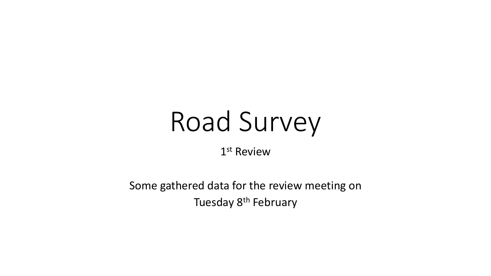# Road Survey

1 st Review

Some gathered data for the review meeting on Tuesday 8th February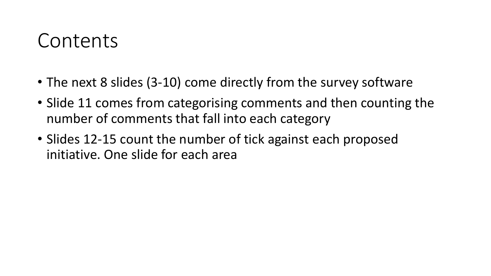## Contents

- The next 8 slides (3-10) come directly from the survey software
- Slide 11 comes from categorising comments and then counting the number of comments that fall into each category
- Slides 12-15 count the number of tick against each proposed initiative. One slide for each area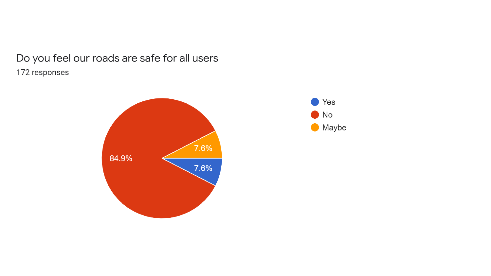## Do you feel our roads are safe for all users 172 responses



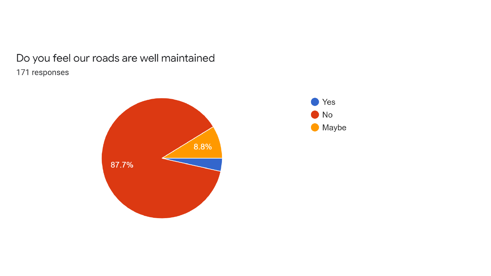## Do you feel our roads are well maintained 171 responses



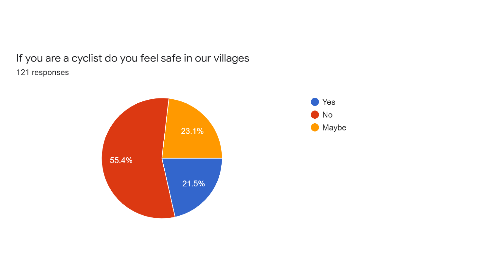If you are a cyclist do you feel safe in our villages 121 responses



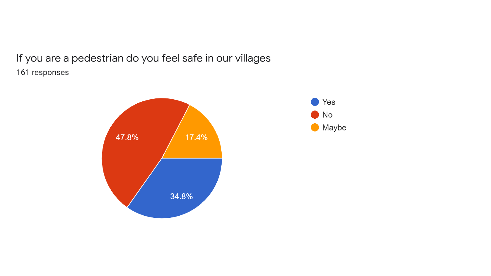If you are a pedestrian do you feel safe in our villages 161 responses



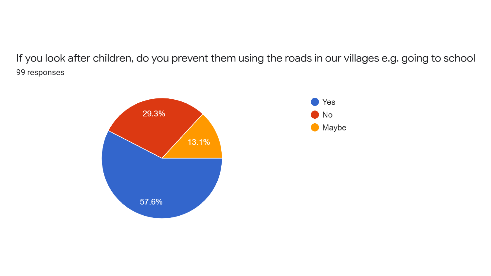If you look after children, do you prevent them using the roads in our villages e.g. going to school 99 responses

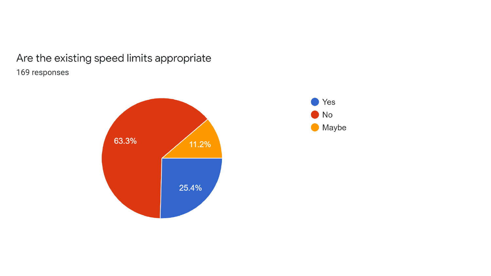## Are the existing speed limits appropriate 169 responses



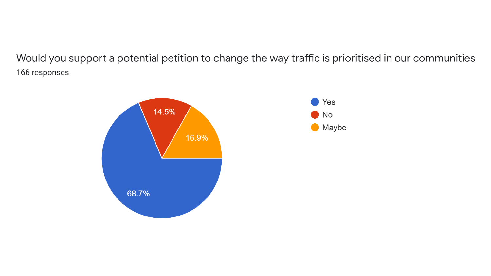Would you support a potential petition to change the way traffic is prioritised in our communities 166 responses

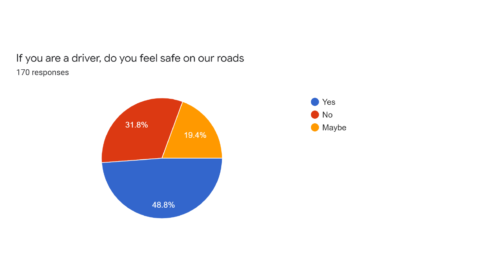### If you are a driver, do you feel safe on our roads 170 responses



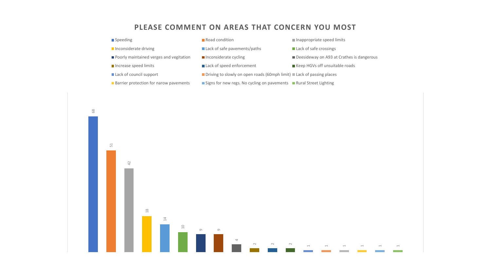#### **PLEASE COMMENT ON AREAS THAT CONCERN YOU MOST**

| ■ Speeding                                    | Road condition                                                                                | Inappropriate speed limits                |
|-----------------------------------------------|-----------------------------------------------------------------------------------------------|-------------------------------------------|
| Inconsiderate driving                         | Lack of safe pavements/paths                                                                  | Lack of safe crossings                    |
| Poorly maintained verges and vegitation       | $\blacksquare$ Inconsiderate cycling                                                          | Deesideway on A93 at Crathes is dangerous |
| Increase speed limits                         | Lack of speed enforcement                                                                     | ■ Keep HGVs off unsuitable roads          |
| Lack of council support                       | <b>Department</b> Driving to slowly on open roads (60mph limit) <b>Lack</b> of passing places |                                           |
| <b>Barrier protection for narow pavements</b> | Signs for new regs. No cycling on pavements Rural Street Lighting                             |                                           |
|                                               |                                                                                               |                                           |

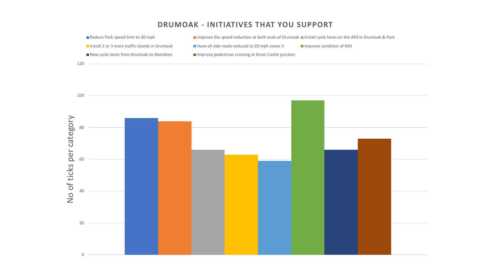#### **DRUMOAK - INITIATIVES THAT YOU SUPPORT**



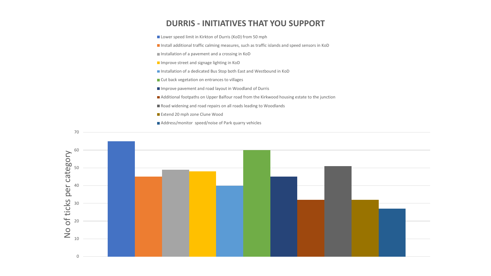#### **DURRIS - INITIATIVES THAT YOU SUPPORT**

■ Lower speed limit in Kirkton of Durris (KoD) from 50 mph

■ Install additional traffic calming measures, such as traffic islands and speed sensors in KoD

Installation of a pavement and a crossing in KoD

Improve street and signage lighting in KoD

Installation of a dedicated Bus Stop both East and Westbound in KoD

■ Cut back vegetation on entrances to villages

■ Improve pavement and road layout in Woodland of Durris

Additional footpaths on Upper Balfour road from the Kirkwood housing estate to the junction

Road widening and road repairs on all roads leading to Woodlands

Extend 20 mph zone Clune Wood

Address/monitor speed/noise of Park quarry vehicles